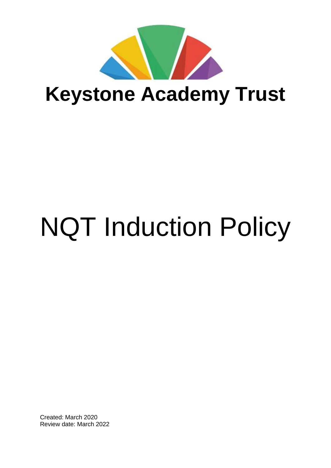

# NQT Induction Policy

Created: March 2020 Review date: March 2022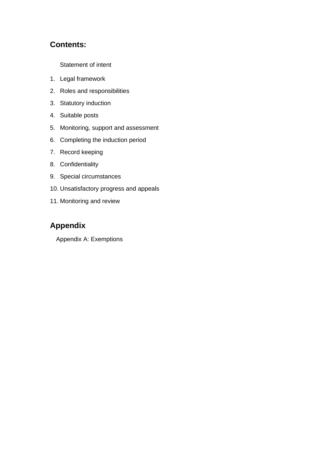#### **Contents:**

[Statement of intent](#page-2-0)

- 1. Legal framework
- 2. Roles and responsibilities
- 3. Statutory induction
- 4. Suitable posts
- 5. Monitoring, support and assessment
- 6. Completing the induction period
- 7. Record keeping
- 8. Confidentiality
- 9. Special circumstances
- 10. [Unsatisfactory](#page-11-0) progress and appeals
- 11. [Monitoring](#page-11-1) and review

# **Appendix**

Appendix A: Exemptions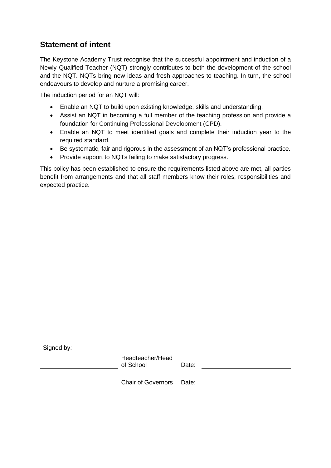# <span id="page-2-0"></span>**Statement of intent**

The Keystone Academy Trust recognise that the successful appointment and induction of a Newly Qualified Teacher (NQT) strongly contributes to both the development of the school and the NQT. NQTs bring new ideas and fresh approaches to teaching. In turn, the school endeavours to develop and nurture a promising career.

The induction period for an NQT will:

- Enable an NQT to build upon existing knowledge, skills and understanding.
- Assist an NQT in becoming a full member of the teaching profession and provide a foundation for Continuing Professional Development (CPD).
- Enable an NQT to meet identified goals and complete their induction year to the required standard.
- Be systematic, fair and rigorous in the assessment of an NQT's professional practice.
- Provide support to NQTs failing to make satisfactory progress.

This policy has been established to ensure the requirements listed above are met, all parties benefit from arrangements and that all staff members know their roles, responsibilities and expected practice.

| Signed by: |                               |       |  |
|------------|-------------------------------|-------|--|
|            | Headteacher/Head<br>of School | Date: |  |
|            | Chair of Governors Date:      |       |  |
|            |                               |       |  |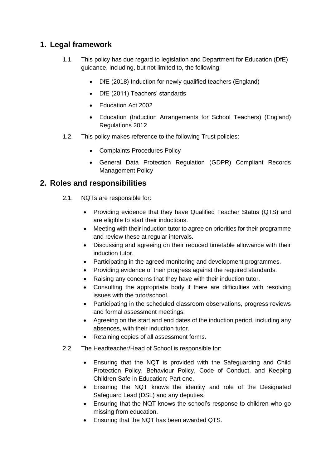# **1. Legal framework**

- 1.1. This policy has due regard to legislation and Department for Education (DfE) guidance, including, but not limited to, the following:
	- DfE (2018) Induction for newly qualified teachers (England)
	- DfE (2011) Teachers' standards
	- Education Act 2002
	- Education (Induction Arrangements for School Teachers) (England) Regulations 2012
- 1.2. This policy makes reference to the following Trust policies:
	- Complaints Procedures Policy
	- General Data Protection Regulation (GDPR) Compliant Records Management Policy

#### **2. Roles and responsibilities**

- 2.1. NQTs are responsible for:
	- Providing evidence that they have Qualified Teacher Status (QTS) and are eligible to start their inductions.
	- Meeting with their induction tutor to agree on priorities for their programme and review these at regular intervals.
	- Discussing and agreeing on their reduced timetable allowance with their induction tutor.
	- Participating in the agreed monitoring and development programmes.
	- Providing evidence of their progress against the required standards.
	- Raising any concerns that they have with their induction tutor.
	- Consulting the appropriate body if there are difficulties with resolving issues with the tutor/school.
	- Participating in the scheduled classroom observations, progress reviews and formal assessment meetings.
	- Agreeing on the start and end dates of the induction period, including any absences, with their induction tutor.
	- Retaining copies of all assessment forms.
- 2.2. The Headteacher/Head of School is responsible for:
	- Ensuring that the NQT is provided with the Safeguarding and Child Protection Policy, Behaviour Policy, Code of Conduct, and Keeping Children Safe in Education: Part one.
	- Ensuring the NQT knows the identity and role of the Designated Safeguard Lead (DSL) and any deputies.
	- Ensuring that the NQT knows the school's response to children who go missing from education.
	- Ensuring that the NQT has been awarded QTS.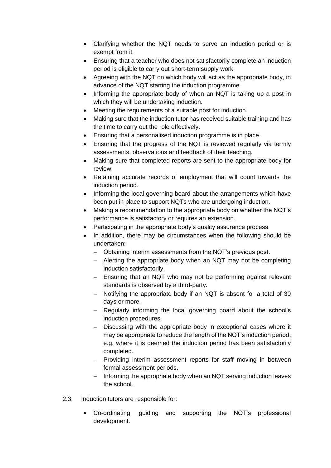- Clarifying whether the NQT needs to serve an induction period or is exempt from it.
- Ensuring that a teacher who does not satisfactorily complete an induction period is eligible to carry out short-term supply work.
- Agreeing with the NQT on which body will act as the appropriate body, in advance of the NQT starting the induction programme.
- Informing the appropriate body of when an NQT is taking up a post in which they will be undertaking induction.
- Meeting the requirements of a suitable post for induction.
- Making sure that the induction tutor has received suitable training and has the time to carry out the role effectively.
- Ensuring that a personalised induction programme is in place.
- Ensuring that the progress of the NQT is reviewed regularly via termly assessments, observations and feedback of their teaching.
- Making sure that completed reports are sent to the appropriate body for review.
- Retaining accurate records of employment that will count towards the induction period.
- Informing the local governing board about the arrangements which have been put in place to support NQTs who are undergoing induction.
- Making a recommendation to the appropriate body on whether the NQT's performance is satisfactory or requires an extension.
- Participating in the appropriate body's quality assurance process.
- In addition, there may be circumstances when the following should be undertaken:
	- − Obtaining interim assessments from the NQT's previous post.
	- − Alerting the appropriate body when an NQT may not be completing induction satisfactorily.
	- − Ensuring that an NQT who may not be performing against relevant standards is observed by a third-party.
	- − Notifying the appropriate body if an NQT is absent for a total of 30 days or more.
	- − Regularly informing the local governing board about the school's induction procedures.
	- − Discussing with the appropriate body in exceptional cases where it may be appropriate to reduce the length of the NQT's induction period, e.g. where it is deemed the induction period has been satisfactorily completed.
	- − Providing interim assessment reports for staff moving in between formal assessment periods.
	- − Informing the appropriate body when an NQT serving induction leaves the school.
- 2.3. Induction tutors are responsible for:
	- Co-ordinating, guiding and supporting the NQT's professional development.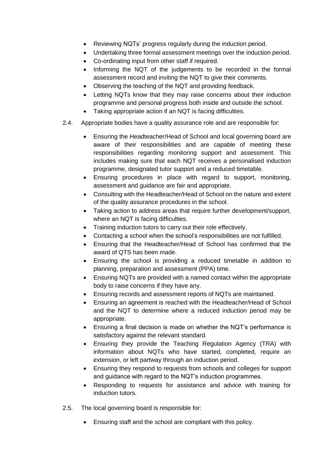- Reviewing NQTs' progress regularly during the induction period.
- Undertaking three formal assessment meetings over the induction period.
- Co-ordinating input from other staff if required.
- Informing the NQT of the judgements to be recorded in the formal assessment record and inviting the NQT to give their comments.
- Observing the teaching of the NQT and providing feedback.
- Letting NQTs know that they may raise concerns about their induction programme and personal progress both inside and outside the school.
- Taking appropriate action if an NQT is facing difficulties.
- 2.4. Appropriate bodies have a quality assurance role and are responsible for:
	- Ensuring the Headteacher/Head of School and local governing board are aware of their responsibilities and are capable of meeting these responsibilities regarding monitoring support and assessment. This includes making sure that each NQT receives a personalised induction programme, designated tutor support and a reduced timetable.
	- Ensuring procedures in place with regard to support, monitoring, assessment and guidance are fair and appropriate.
	- Consulting with the Headteacher/Head of School on the nature and extent of the quality assurance procedures in the school.
	- Taking action to address areas that require further development/support, where an NQT is facing difficulties.
	- Training induction tutors to carry out their role effectively.
	- Contacting a school when the school's responsibilities are not fulfilled.
	- Ensuring that the Headteacher/Head of School has confirmed that the award of QTS has been made.
	- Ensuring the school is providing a reduced timetable in addition to planning, preparation and assessment (PPA) time.
	- Ensuring NQTs are provided with a named contact within the appropriate body to raise concerns if they have any.
	- Ensuring records and assessment reports of NQTs are maintained.
	- Ensuring an agreement is reached with the Headteacher/Head of School and the NQT to determine where a reduced induction period may be appropriate.
	- Ensuring a final decision is made on whether the NQT's performance is satisfactory against the relevant standard.
	- Ensuring they provide the Teaching Regulation Agency (TRA) with information about NQTs who have started, completed, require an extension, or left partway through an induction period.
	- Ensuring they respond to requests from schools and colleges for support and guidance with regard to the NQT's induction programmes.
	- Responding to requests for assistance and advice with training for induction tutors.
- 2.5. The local governing board is responsible for:
	- Ensuring staff and the school are compliant with this policy.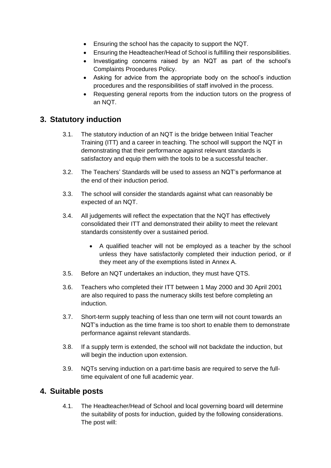- Ensuring the school has the capacity to support the NQT.
- Ensuring the Headteacher/Head of School is fulfilling their responsibilities.
- Investigating concerns raised by an NQT as part of the school's Complaints Procedures Policy.
- Asking for advice from the appropriate body on the school's induction procedures and the responsibilities of staff involved in the process.
- Requesting general reports from the induction tutors on the progress of an NQT.

# **3. Statutory induction**

- 3.1. The statutory induction of an NQT is the bridge between Initial Teacher Training (ITT) and a career in teaching. The school will support the NQT in demonstrating that their performance against relevant standards is satisfactory and equip them with the tools to be a successful teacher.
- 3.2. The Teachers' Standards will be used to assess an NQT's performance at the end of their induction period.
- 3.3. The school will consider the standards against what can reasonably be expected of an NQT.
- 3.4. All judgements will reflect the expectation that the NQT has effectively consolidated their ITT and demonstrated their ability to meet the relevant standards consistently over a sustained period.
	- A qualified teacher will not be employed as a teacher by the school unless they have satisfactorily completed their induction period, or if they meet any of the exemptions listed in Annex A.
- 3.5. Before an NQT undertakes an induction, they must have QTS.
- 3.6. Teachers who completed their ITT between 1 May 2000 and 30 April 2001 are also required to pass the numeracy skills test before completing an induction.
- 3.7. Short-term supply teaching of less than one term will not count towards an NQT's induction as the time frame is too short to enable them to demonstrate performance against relevant standards.
- 3.8. If a supply term is extended, the school will not backdate the induction, but will begin the induction upon extension.
- 3.9. NQTs serving induction on a part-time basis are required to serve the fulltime equivalent of one full academic year.

#### **4. Suitable posts**

4.1. The Headteacher/Head of School and local governing board will determine the suitability of posts for induction, guided by the following considerations. The post will: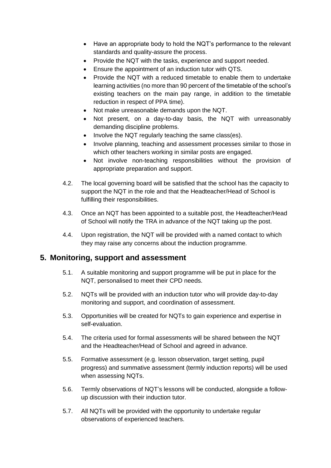- Have an appropriate body to hold the NQT's performance to the relevant standards and quality-assure the process.
- Provide the NQT with the tasks, experience and support needed.
- Ensure the appointment of an induction tutor with QTS.
- Provide the NQT with a reduced timetable to enable them to undertake learning activities (no more than 90 percent of the timetable of the school's existing teachers on the main pay range, in addition to the timetable reduction in respect of PPA time).
- Not make unreasonable demands upon the NQT.
- Not present, on a day-to-day basis, the NQT with unreasonably demanding discipline problems.
- Involve the NQT regularly teaching the same class(es).
- Involve planning, teaching and assessment processes similar to those in which other teachers working in similar posts are engaged.
- Not involve non-teaching responsibilities without the provision of appropriate preparation and support.
- 4.2. The local governing board will be satisfied that the school has the capacity to support the NQT in the role and that the Headteacher/Head of School is fulfilling their responsibilities.
- 4.3. Once an NQT has been appointed to a suitable post, the Headteacher/Head of School will notify the TRA in advance of the NQT taking up the post.
- 4.4. Upon registration, the NQT will be provided with a named contact to which they may raise any concerns about the induction programme.

#### **5. Monitoring, support and assessment**

- 5.1. A suitable monitoring and support programme will be put in place for the NQT, personalised to meet their CPD needs.
- 5.2. NQTs will be provided with an induction tutor who will provide day-to-day monitoring and support, and coordination of assessment.
- 5.3. Opportunities will be created for NQTs to gain experience and expertise in self-evaluation.
- 5.4. The criteria used for formal assessments will be shared between the NQT and the Headteacher/Head of School and agreed in advance.
- 5.5. Formative assessment (e.g. lesson observation, target setting, pupil progress) and summative assessment (termly induction reports) will be used when assessing NQTs.
- 5.6. Termly observations of NQT's lessons will be conducted, alongside a followup discussion with their induction tutor.
- 5.7. All NQTs will be provided with the opportunity to undertake regular observations of experienced teachers.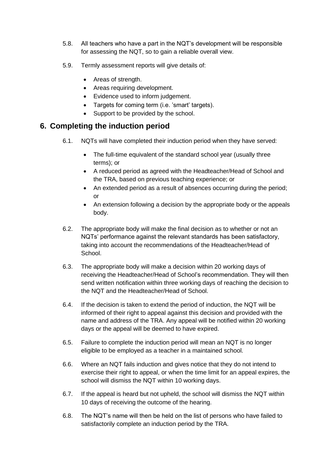- 5.8. All teachers who have a part in the NQT's development will be responsible for assessing the NQT, so to gain a reliable overall view.
- 5.9. Termly assessment reports will give details of:
	- Areas of strength.
	- Areas requiring development.
	- Evidence used to inform judgement.
	- Targets for coming term (i.e. 'smart' targets).
	- Support to be provided by the school.

#### **6. Completing the induction period**

- 6.1. NQTs will have completed their induction period when they have served:
	- The full-time equivalent of the standard school year (usually three terms); or
	- A reduced period as agreed with the Headteacher/Head of School and the TRA, based on previous teaching experience; or
	- An extended period as a result of absences occurring during the period; or
	- An extension following a decision by the appropriate body or the appeals body.
- 6.2. The appropriate body will make the final decision as to whether or not an NQTs' performance against the relevant standards has been satisfactory, taking into account the recommendations of the Headteacher/Head of School.
- 6.3. The appropriate body will make a decision within 20 working days of receiving the Headteacher/Head of School's recommendation. They will then send written notification within three working days of reaching the decision to the NQT and the Headteacher/Head of School.
- 6.4. If the decision is taken to extend the period of induction, the NQT will be informed of their right to appeal against this decision and provided with the name and address of the TRA. Any appeal will be notified within 20 working days or the appeal will be deemed to have expired.
- 6.5. Failure to complete the induction period will mean an NQT is no longer eligible to be employed as a teacher in a maintained school.
- 6.6. Where an NQT fails induction and gives notice that they do not intend to exercise their right to appeal, or when the time limit for an appeal expires, the school will dismiss the NQT within 10 working days.
- 6.7. If the appeal is heard but not upheld, the school will dismiss the NQT within 10 days of receiving the outcome of the hearing.
- 6.8. The NQT's name will then be held on the list of persons who have failed to satisfactorily complete an induction period by the TRA.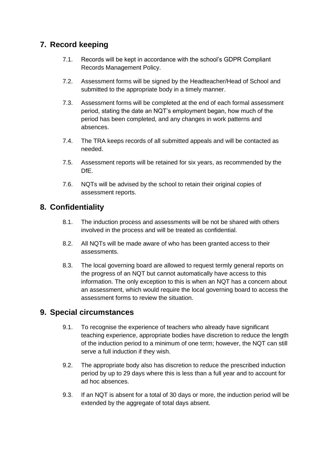# **7. Record keeping**

- 7.1. Records will be kept in accordance with the school's GDPR Compliant Records Management Policy.
- 7.2. Assessment forms will be signed by the Headteacher/Head of School and submitted to the appropriate body in a timely manner.
- 7.3. Assessment forms will be completed at the end of each formal assessment period, stating the date an NQT's employment began, how much of the period has been completed, and any changes in work patterns and absences.
- 7.4. The TRA keeps records of all submitted appeals and will be contacted as needed.
- 7.5. Assessment reports will be retained for six years, as recommended by the DfE.
- 7.6. NQTs will be advised by the school to retain their original copies of assessment reports.

# **8. Confidentiality**

- 8.1. The induction process and assessments will be not be shared with others involved in the process and will be treated as confidential.
- 8.2. All NQTs will be made aware of who has been granted access to their assessments.
- 8.3. The local governing board are allowed to request termly general reports on the progress of an NQT but cannot automatically have access to this information. The only exception to this is when an NQT has a concern about an assessment, which would require the local governing board to access the assessment forms to review the situation.

# **9. Special circumstances**

- 9.1. To recognise the experience of teachers who already have significant teaching experience, appropriate bodies have discretion to reduce the length of the induction period to a minimum of one term; however, the NQT can still serve a full induction if they wish.
- 9.2. The appropriate body also has discretion to reduce the prescribed induction period by up to 29 days where this is less than a full year and to account for ad hoc absences.
- 9.3. If an NQT is absent for a total of 30 days or more, the induction period will be extended by the aggregate of total days absent.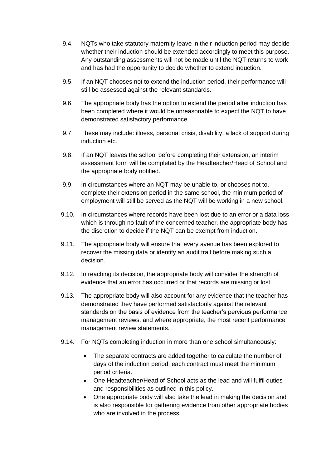- 9.4. NQTs who take statutory maternity leave in their induction period may decide whether their induction should be extended accordingly to meet this purpose. Any outstanding assessments will not be made until the NQT returns to work and has had the opportunity to decide whether to extend induction.
- 9.5. If an NQT chooses not to extend the induction period, their performance will still be assessed against the relevant standards.
- 9.6. The appropriate body has the option to extend the period after induction has been completed where it would be unreasonable to expect the NQT to have demonstrated satisfactory performance.
- 9.7. These may include: illness, personal crisis, disability, a lack of support during induction etc.
- 9.8. If an NQT leaves the school before completing their extension, an interim assessment form will be completed by the Headteacher/Head of School and the appropriate body notified.
- 9.9. In circumstances where an NQT may be unable to, or chooses not to, complete their extension period in the same school, the minimum period of employment will still be served as the NQT will be working in a new school.
- 9.10. In circumstances where records have been lost due to an error or a data loss which is through no fault of the concerned teacher, the appropriate body has the discretion to decide if the NQT can be exempt from induction.
- 9.11. The appropriate body will ensure that every avenue has been explored to recover the missing data or identify an audit trail before making such a decision.
- 9.12. In reaching its decision, the appropriate body will consider the strength of evidence that an error has occurred or that records are missing or lost.
- 9.13. The appropriate body will also account for any evidence that the teacher has demonstrated they have performed satisfactorily against the relevant standards on the basis of evidence from the teacher's pervious performance management reviews, and where appropriate, the most recent performance management review statements.
- 9.14. For NQTs completing induction in more than one school simultaneously:
	- The separate contracts are added together to calculate the number of days of the induction period; each contract must meet the minimum period criteria.
	- One Headteacher/Head of School acts as the lead and will fulfil duties and responsibilities as outlined in this policy.
	- One appropriate body will also take the lead in making the decision and is also responsible for gathering evidence from other appropriate bodies who are involved in the process.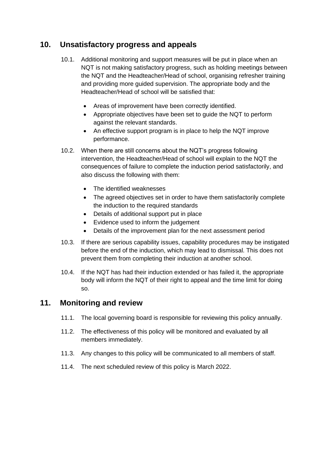# <span id="page-11-0"></span>**10. Unsatisfactory progress and appeals**

- 10.1. Additional monitoring and support measures will be put in place when an NQT is not making satisfactory progress, such as holding meetings between the NQT and the Headteacher/Head of school, organising refresher training and providing more guided supervision. The appropriate body and the Headteacher/Head of school will be satisfied that:
	- Areas of improvement have been correctly identified.
	- Appropriate objectives have been set to guide the NQT to perform against the relevant standards.
	- An effective support program is in place to help the NQT improve performance.
- 10.2. When there are still concerns about the NQT's progress following intervention, the Headteacher/Head of school will explain to the NQT the consequences of failure to complete the induction period satisfactorily, and also discuss the following with them:
	- The identified weaknesses
	- The agreed objectives set in order to have them satisfactorily complete the induction to the required standards
	- Details of additional support put in place
	- Evidence used to inform the judgement
	- Details of the improvement plan for the next assessment period
- 10.3. If there are serious capability issues, capability procedures may be instigated before the end of the induction, which may lead to dismissal. This does not prevent them from completing their induction at another school.
- 10.4. If the NQT has had their induction extended or has failed it, the appropriate body will inform the NQT of their right to appeal and the time limit for doing so.

#### <span id="page-11-1"></span>**11. Monitoring and review**

- 11.1. The local governing board is responsible for reviewing this policy annually.
- 11.2. The effectiveness of this policy will be monitored and evaluated by all members immediately.
- 11.3. Any changes to this policy will be communicated to all members of staff.
- 11.4. The next scheduled review of this policy is March 2022.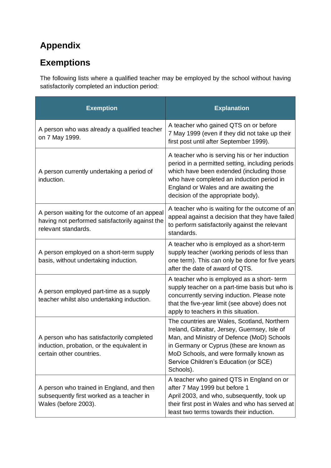# **Appendix**

# **Exemptions**

The following lists where a qualified teacher may be employed by the school without having satisfactorily completed an induction period:

| <b>Exemption</b>                                                                                                        | <b>Explanation</b>                                                                                                                                                                                                                                                                      |
|-------------------------------------------------------------------------------------------------------------------------|-----------------------------------------------------------------------------------------------------------------------------------------------------------------------------------------------------------------------------------------------------------------------------------------|
| A person who was already a qualified teacher<br>on 7 May 1999.                                                          | A teacher who gained QTS on or before<br>7 May 1999 (even if they did not take up their<br>first post until after September 1999).                                                                                                                                                      |
| A person currently undertaking a period of<br>induction.                                                                | A teacher who is serving his or her induction<br>period in a permitted setting, including periods<br>which have been extended (including those<br>who have completed an induction period in<br>England or Wales and are awaiting the<br>decision of the appropriate body).              |
| A person waiting for the outcome of an appeal<br>having not performed satisfactorily against the<br>relevant standards. | A teacher who is waiting for the outcome of an<br>appeal against a decision that they have failed<br>to perform satisfactorily against the relevant<br>standards.                                                                                                                       |
| A person employed on a short-term supply<br>basis, without undertaking induction.                                       | A teacher who is employed as a short-term<br>supply teacher (working periods of less than<br>one term). This can only be done for five years<br>after the date of award of QTS.                                                                                                         |
| A person employed part-time as a supply<br>teacher whilst also undertaking induction.                                   | A teacher who is employed as a short-term<br>supply teacher on a part-time basis but who is<br>concurrently serving induction. Please note<br>that the five-year limit (see above) does not<br>apply to teachers in this situation.                                                     |
| A person who has satisfactorily completed<br>induction, probation, or the equivalent in<br>certain other countries.     | The countries are Wales, Scotland, Northern<br>Ireland, Gibraltar, Jersey, Guernsey, Isle of<br>Man, and Ministry of Defence (MoD) Schools<br>in Germany or Cyprus (these are known as<br>MoD Schools, and were formally known as<br>Service Children's Education (or SCE)<br>Schools). |
| A person who trained in England, and then<br>subsequently first worked as a teacher in<br>Wales (before 2003).          | A teacher who gained QTS in England on or<br>after 7 May 1999 but before 1<br>April 2003, and who, subsequently, took up<br>their first post in Wales and who has served at<br>least two terms towards their induction.                                                                 |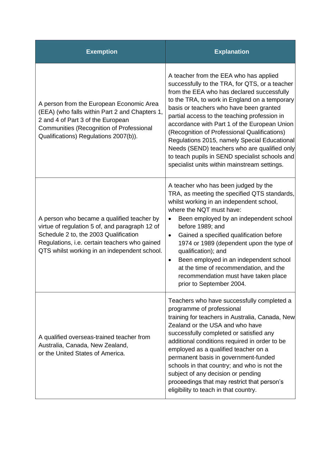| <b>Exemption</b>                                                                                                                                                                                                                       | <b>Explanation</b>                                                                                                                                                                                                                                                                                                                                                                                                                                                                                                                                                                   |
|----------------------------------------------------------------------------------------------------------------------------------------------------------------------------------------------------------------------------------------|--------------------------------------------------------------------------------------------------------------------------------------------------------------------------------------------------------------------------------------------------------------------------------------------------------------------------------------------------------------------------------------------------------------------------------------------------------------------------------------------------------------------------------------------------------------------------------------|
| A person from the European Economic Area<br>(EEA) (who falls within Part 2 and Chapters 1,<br>2 and 4 of Part 3 of the European<br>Communities (Recognition of Professional<br>Qualifications) Regulations 2007(b)).                   | A teacher from the EEA who has applied<br>successfully to the TRA, for QTS, or a teacher<br>from the EEA who has declared successfully<br>to the TRA, to work in England on a temporary<br>basis or teachers who have been granted<br>partial access to the teaching profession in<br>accordance with Part 1 of the European Union<br>(Recognition of Professional Qualifications)<br>Regulations 2015, namely Special Educational<br>Needs (SEND) teachers who are qualified only<br>to teach pupils in SEND specialist schools and<br>specialist units within mainstream settings. |
| A person who became a qualified teacher by<br>virtue of regulation 5 of, and paragraph 12 of<br>Schedule 2 to, the 2003 Qualification<br>Regulations, i.e. certain teachers who gained<br>QTS whilst working in an independent school. | A teacher who has been judged by the<br>TRA, as meeting the specified QTS standards,<br>whilst working in an independent school,<br>where the NQT must have:<br>Been employed by an independent school<br>$\bullet$<br>before 1989; and<br>Gained a specified qualification before<br>$\bullet$<br>1974 or 1989 (dependent upon the type of<br>qualification); and<br>Been employed in an independent school<br>$\bullet$<br>at the time of recommendation, and the<br>recommendation must have taken place<br>prior to September 2004.                                              |
| A qualified overseas-trained teacher from<br>Australia, Canada, New Zealand,<br>or the United States of America.                                                                                                                       | Teachers who have successfully completed a<br>programme of professional<br>training for teachers in Australia, Canada, New<br>Zealand or the USA and who have<br>successfully completed or satisfied any<br>additional conditions required in order to be<br>employed as a qualified teacher on a<br>permanent basis in government-funded<br>schools in that country; and who is not the<br>subject of any decision or pending<br>proceedings that may restrict that person's<br>eligibility to teach in that country.                                                               |